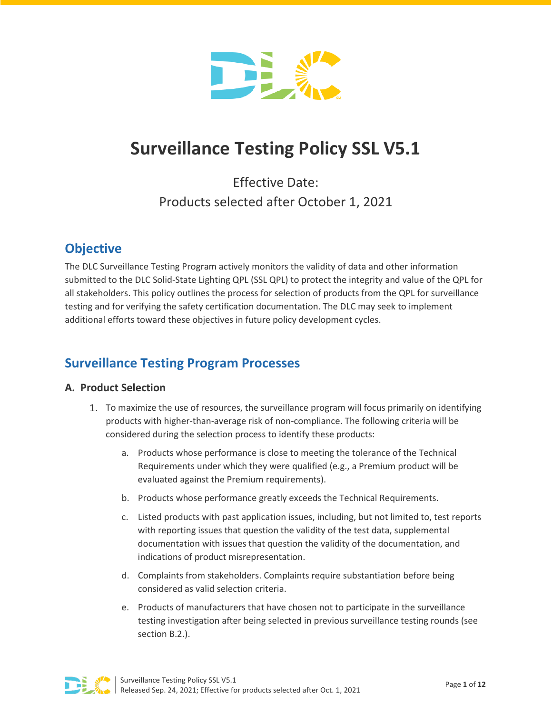

# **Surveillance Testing Policy SSL V5.1**

Effective Date: Products selected after October 1, 2021

# **Objective**

The DLC Surveillance Testing Program actively monitors the validity of data and other information submitted to the DLC Solid-State Lighting QPL (SSL QPL) to protect the integrity and value of the QPL for all stakeholders. This policy outlines the process for selection of products from the QPL for surveillance testing and for verifying the safety certification documentation. The DLC may seek to implement additional efforts toward these objectives in future policy development cycles.

# **Surveillance Testing Program Processes**

# **A. Product Selection**

- 1. To maximize the use of resources, the surveillance program will focus primarily on identifying products with higher-than-average risk of non-compliance. The following criteria will be considered during the selection process to identify these products:
	- a. Products whose performance is close to meeting the tolerance of the Technical Requirements under which they were qualified (e.g., a Premium product will be evaluated against the Premium requirements).
	- b. Products whose performance greatly exceeds the Technical Requirements.
	- c. Listed products with past application issues, including, but not limited to, test reports with reporting issues that question the validity of the test data, supplemental documentation with issues that question the validity of the documentation, and indications of product misrepresentation.
	- d. Complaints from stakeholders. Complaints require substantiation before being considered as valid selection criteria.
	- e. Products of manufacturers that have chosen not to participate in the surveillance testing investigation after being selected in previous surveillance testing rounds (see section B.2.).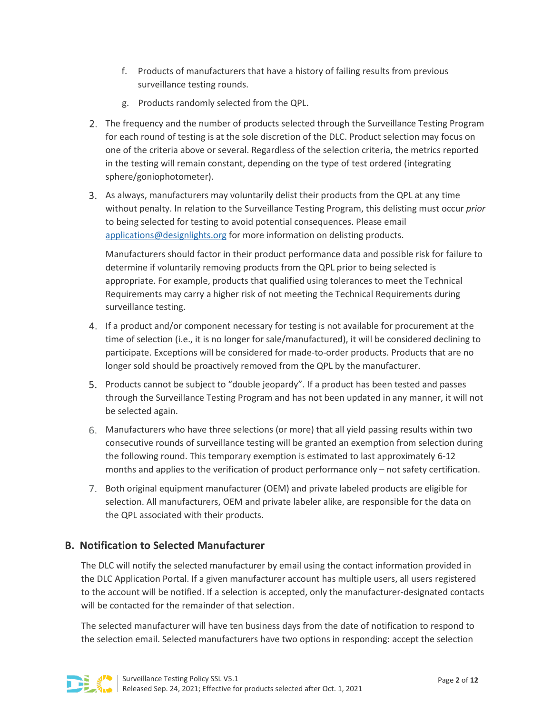- f. Products of manufacturers that have a history of failing results from previous surveillance testing rounds.
- g. Products randomly selected from the QPL.
- The frequency and the number of products selected through the Surveillance Testing Program for each round of testing is at the sole discretion of the DLC. Product selection may focus on one of the criteria above or several. Regardless of the selection criteria, the metrics reported in the testing will remain constant, depending on the type of test ordered (integrating sphere/goniophotometer).
- As always, manufacturers may voluntarily delist their products from the QPL at any time without penalty. In relation to the Surveillance Testing Program, this delisting must occur *prior* to being selected for testing to avoid potential consequences. Please email [applications@designlights.org](mailto:applications@designlights.org) for more information on delisting products.

Manufacturers should factor in their product performance data and possible risk for failure to determine if voluntarily removing products from the QPL prior to being selected is appropriate. For example, products that qualified using tolerances to meet the Technical Requirements may carry a higher risk of not meeting the Technical Requirements during surveillance testing.

- If a product and/or component necessary for testing is not available for procurement at the time of selection (i.e., it is no longer for sale/manufactured), it will be considered declining to participate. Exceptions will be considered for made-to-order products. Products that are no longer sold should be proactively removed from the QPL by the manufacturer.
- Products cannot be subject to "double jeopardy". If a product has been tested and passes through the Surveillance Testing Program and has not been updated in any manner, it will not be selected again.
- Manufacturers who have three selections (or more) that all yield passing results within two consecutive rounds of surveillance testing will be granted an exemption from selection during the following round. This temporary exemption is estimated to last approximately 6-12 months and applies to the verification of product performance only – not safety certification.
- 7. Both original equipment manufacturer (OEM) and private labeled products are eligible for selection. All manufacturers, OEM and private labeler alike, are responsible for the data on the QPL associated with their products.

# **B. Notification to Selected Manufacturer**

The DLC will notify the selected manufacturer by email using the contact information provided in the DLC Application Portal. If a given manufacturer account has multiple users, all users registered to the account will be notified. If a selection is accepted, only the manufacturer-designated contacts will be contacted for the remainder of that selection.

The selected manufacturer will have ten business days from the date of notification to respond to the selection email. Selected manufacturers have two options in responding: accept the selection

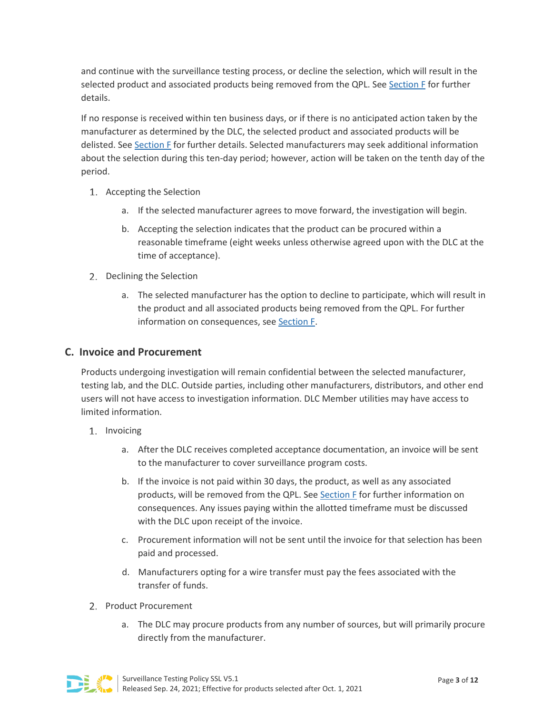and continue with the surveillance testing process, or decline the selection, which will result in the selected product and associated products being removed from the QPL. Se[e Section F](#page-7-0) for further details.

If no response is received within ten business days, or if there is no anticipated action taken by the manufacturer as determined by the DLC, the selected product and associated products will be delisted. See [Section F](#page-7-0) for further details. Selected manufacturers may seek additional information about the selection during this ten-day period; however, action will be taken on the tenth day of the period.

- 1. Accepting the Selection
	- a. If the selected manufacturer agrees to move forward, the investigation will begin.
	- b. Accepting the selection indicates that the product can be procured within a reasonable timeframe (eight weeks unless otherwise agreed upon with the DLC at the time of acceptance).
- 2. Declining the Selection
	- a. The selected manufacturer has the option to decline to participate, which will result in the product and all associated products being removed from the QPL. For further information on consequences, see [Section F.](#page-7-0)

## **C. Invoice and Procurement**

Products undergoing investigation will remain confidential between the selected manufacturer, testing lab, and the DLC. Outside parties, including other manufacturers, distributors, and other end users will not have access to investigation information. DLC Member utilities may have access to limited information.

- 1. Invoicing
	- a. After the DLC receives completed acceptance documentation, an invoice will be sent to the manufacturer to cover surveillance program costs.
	- b. If the invoice is not paid within 30 days, the product, as well as any associated products, will be removed from the QPL. See [Section F](#page-7-0) for further information on consequences. Any issues paying within the allotted timeframe must be discussed with the DLC upon receipt of the invoice.
	- c. Procurement information will not be sent until the invoice for that selection has been paid and processed.
	- d. Manufacturers opting for a wire transfer must pay the fees associated with the transfer of funds.
- 2. Product Procurement
	- a. The DLC may procure products from any number of sources, but will primarily procure directly from the manufacturer.

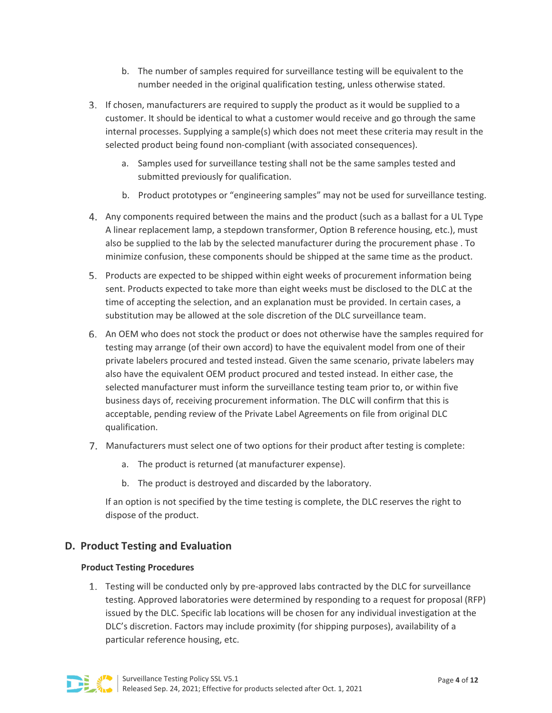- b. The number of samples required for surveillance testing will be equivalent to the number needed in the original qualification testing, unless otherwise stated.
- If chosen, manufacturers are required to supply the product as it would be supplied to a customer. It should be identical to what a customer would receive and go through the same internal processes. Supplying a sample(s) which does not meet these criteria may result in the selected product being found non-compliant (with associated consequences).
	- a. Samples used for surveillance testing shall not be the same samples tested and submitted previously for qualification.
	- b. Product prototypes or "engineering samples" may not be used for surveillance testing.
- <span id="page-3-0"></span>Any components required between the mains and the product (such as a ballast for a UL Type A linear replacement lamp, a stepdown transformer, Option B reference housing, etc.), must also be supplied to the lab by the selected manufacturer during the procurement phase . To minimize confusion, these components should be shipped at the same time as the product.
- Products are expected to be shipped within eight weeks of procurement information being sent. Products expected to take more than eight weeks must be disclosed to the DLC at the time of accepting the selection, and an explanation must be provided. In certain cases, a substitution may be allowed at the sole discretion of the DLC surveillance team.
- An OEM who does not stock the product or does not otherwise have the samples required for testing may arrange (of their own accord) to have the equivalent model from one of their private labelers procured and tested instead. Given the same scenario, private labelers may also have the equivalent OEM product procured and tested instead. In either case, the selected manufacturer must inform the surveillance testing team prior to, or within five business days of, receiving procurement information. The DLC will confirm that this is acceptable, pending review of the Private Label Agreements on file from original DLC qualification.
- Manufacturers must select one of two options for their product after testing is complete:
	- a. The product is returned (at manufacturer expense).
	- b. The product is destroyed and discarded by the laboratory.

If an option is not specified by the time testing is complete, the DLC reserves the right to dispose of the product.

# **D. Product Testing and Evaluation**

#### **Product Testing Procedures**

1. Testing will be conducted only by pre-approved labs contracted by the DLC for surveillance testing. Approved laboratories were determined by responding to a request for proposal (RFP) issued by the DLC. Specific lab locations will be chosen for any individual investigation at the DLC's discretion. Factors may include proximity (for shipping purposes), availability of a particular reference housing, etc.

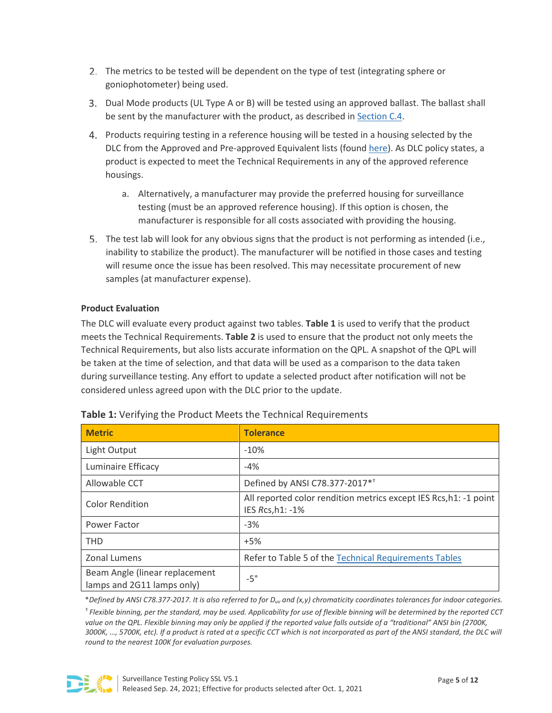- 2. The metrics to be tested will be dependent on the type of test (integrating sphere or goniophotometer) being used.
- Dual Mode products (UL Type A or B) will be tested using an approved ballast. The ballast shall be sent by the manufacturer with the product, as described in [Section C.4.](#page-3-0)
- Products requiring testing in a reference housing will be tested in a housing selected by the DLC from the Approved and Pre-approved Equivalent lists (found [here\)](https://www.designlights.org/our-work/solid-state-lighting/technical-requirements/approved-pre-approved-housings/). As DLC policy states, a product is expected to meet the Technical Requirements in any of the approved reference housings.
	- a. Alternatively, a manufacturer may provide the preferred housing for surveillance testing (must be an approved reference housing). If this option is chosen, the manufacturer is responsible for all costs associated with providing the housing.
- The test lab will look for any obvious signs that the product is not performing as intended (i.e., inability to stabilize the product). The manufacturer will be notified in those cases and testing will resume once the issue has been resolved. This may necessitate procurement of new samples (at manufacturer expense).

#### **Product Evaluation**

The DLC will evaluate every product against two tables. **Table 1** is used to verify that the product meets the Technical Requirements. **Table 2** is used to ensure that the product not only meets the Technical Requirements, but also lists accurate information on the QPL. A snapshot of the QPL will be taken at the time of selection, and that data will be used as a comparison to the data taken during surveillance testing. Any effort to update a selected product after notification will not be considered unless agreed upon with the DLC prior to the update.

| <b>Metric</b>                                                | <b>Tolerance</b>                                                                      |
|--------------------------------------------------------------|---------------------------------------------------------------------------------------|
| Light Output                                                 | $-10%$                                                                                |
| Luminaire Efficacy                                           | $-4%$                                                                                 |
| Allowable CCT                                                | Defined by ANSI C78.377-2017* <sup>+</sup>                                            |
| <b>Color Rendition</b>                                       | All reported color rendition metrics except IES Rcs, h1: -1 point<br>IES Rcs, h1: -1% |
| Power Factor                                                 | $-3%$                                                                                 |
| <b>THD</b>                                                   | $+5%$                                                                                 |
| Zonal Lumens                                                 | Refer to Table 5 of the Technical Requirements Tables                                 |
| Beam Angle (linear replacement<br>lamps and 2G11 lamps only) | $-5^\circ$                                                                            |

| Table 1: Verifying the Product Meets the Technical Requirements |  |  |
|-----------------------------------------------------------------|--|--|
|-----------------------------------------------------------------|--|--|

\**Defined by ANSI C78.377-2017. It is also referred to for Duv and (x,y) chromaticity coordinates tolerances for indoor categories.*

† *Flexible binning, per the standard, may be used. Applicability for use of flexible binning will be determined by the reported CCT value on the QPL. Flexible binning may only be applied if the reported value falls outside of a "traditional" ANSI bin (2700K, 3000K, …, 5700K, etc). If a product is rated at a specific CCT which is not incorporated as part of the ANSI standard, the DLC will round to the nearest 100K for evaluation purposes.*

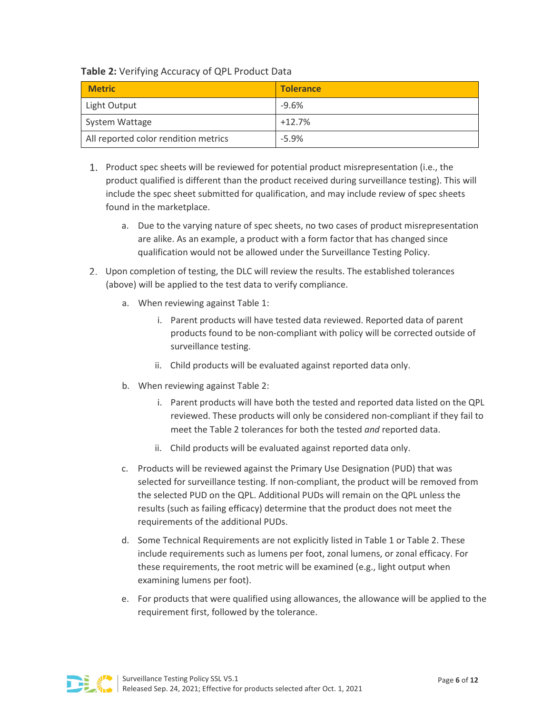## **Table 2:** Verifying Accuracy of QPL Product Data

| <b>Metric</b>                        | <b>Tolerance</b> |
|--------------------------------------|------------------|
| Light Output                         | $-9.6%$          |
| System Wattage                       | $+12.7%$         |
| All reported color rendition metrics | $-5.9\%$         |

- 1. Product spec sheets will be reviewed for potential product misrepresentation (i.e., the product qualified is different than the product received during surveillance testing). This will include the spec sheet submitted for qualification, and may include review of spec sheets found in the marketplace.
	- a. Due to the varying nature of spec sheets, no two cases of product misrepresentation are alike. As an example, a product with a form factor that has changed since qualification would not be allowed under the Surveillance Testing Policy.
- Upon completion of testing, the DLC will review the results. The established tolerances (above) will be applied to the test data to verify compliance.
	- a. When reviewing against Table 1:
		- i. Parent products will have tested data reviewed. Reported data of parent products found to be non-compliant with policy will be corrected outside of surveillance testing.
		- ii. Child products will be evaluated against reported data only.
	- b. When reviewing against Table 2:
		- i. Parent products will have both the tested and reported data listed on the QPL reviewed. These products will only be considered non-compliant if they fail to meet the Table 2 tolerances for both the tested *and* reported data.
		- ii. Child products will be evaluated against reported data only.
	- c. Products will be reviewed against the Primary Use Designation (PUD) that was selected for surveillance testing. If non-compliant, the product will be removed from the selected PUD on the QPL. Additional PUDs will remain on the QPL unless the results (such as failing efficacy) determine that the product does not meet the requirements of the additional PUDs.
	- d. Some Technical Requirements are not explicitly listed in Table 1 or Table 2. These include requirements such as lumens per foot, zonal lumens, or zonal efficacy. For these requirements, the root metric will be examined (e.g., light output when examining lumens per foot).
	- e. For products that were qualified using allowances, the allowance will be applied to the requirement first, followed by the tolerance.

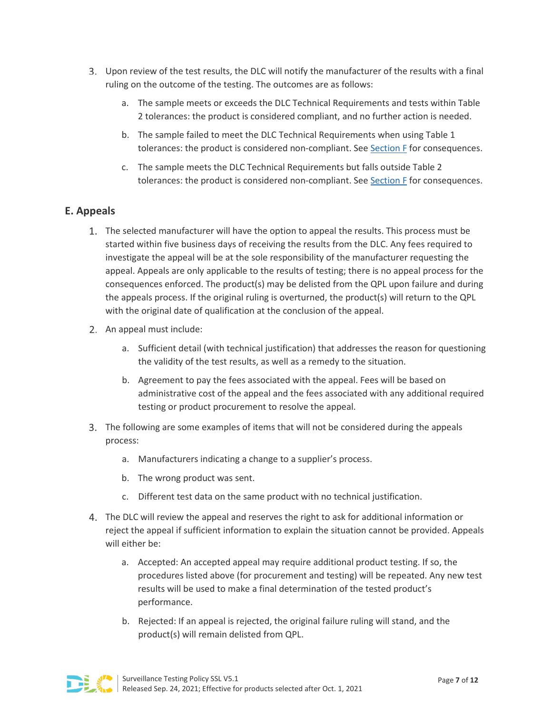- Upon review of the test results, the DLC will notify the manufacturer of the results with a final ruling on the outcome of the testing. The outcomes are as follows:
	- a. The sample meets or exceeds the DLC Technical Requirements and tests within Table 2 tolerances: the product is considered compliant, and no further action is needed.
	- b. The sample failed to meet the DLC Technical Requirements when using Table 1 tolerances: the product is considered non-compliant. See [Section F](#page-7-0) for consequences.
	- c. The sample meets the DLC Technical Requirements but falls outside Table 2 tolerances: the product is considered non-compliant. See [Section F](#page-7-0) for consequences.

# **E. Appeals**

- The selected manufacturer will have the option to appeal the results. This process must be started within five business days of receiving the results from the DLC. Any fees required to investigate the appeal will be at the sole responsibility of the manufacturer requesting the appeal. Appeals are only applicable to the results of testing; there is no appeal process for the consequences enforced. The product(s) may be delisted from the QPL upon failure and during the appeals process. If the original ruling is overturned, the product(s) will return to the QPL with the original date of qualification at the conclusion of the appeal.
- 2. An appeal must include:
	- a. Sufficient detail (with technical justification) that addresses the reason for questioning the validity of the test results, as well as a remedy to the situation.
	- b. Agreement to pay the fees associated with the appeal. Fees will be based on administrative cost of the appeal and the fees associated with any additional required testing or product procurement to resolve the appeal.
- The following are some examples of items that will not be considered during the appeals process:
	- a. Manufacturers indicating a change to a supplier's process.
	- b. The wrong product was sent.
	- c. Different test data on the same product with no technical justification.
- The DLC will review the appeal and reserves the right to ask for additional information or reject the appeal if sufficient information to explain the situation cannot be provided. Appeals will either be:
	- a. Accepted: An accepted appeal may require additional product testing. If so, the procedures listed above (for procurement and testing) will be repeated. Any new test results will be used to make a final determination of the tested product's performance.
	- b. Rejected: If an appeal is rejected, the original failure ruling will stand, and the product(s) will remain delisted from QPL.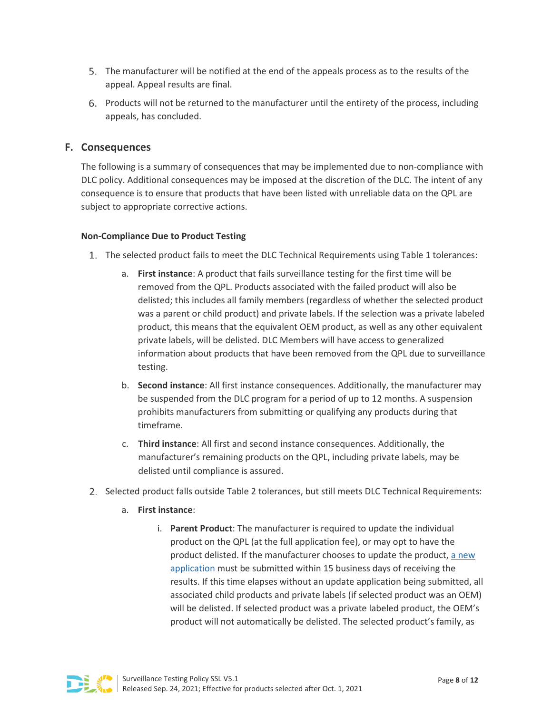- The manufacturer will be notified at the end of the appeals process as to the results of the appeal. Appeal results are final.
- 6. Products will not be returned to the manufacturer until the entirety of the process, including appeals, has concluded.

## <span id="page-7-0"></span>**F. Consequences**

The following is a summary of consequences that may be implemented due to non-compliance with DLC policy. Additional consequences may be imposed at the discretion of the DLC. The intent of any consequence is to ensure that products that have been listed with unreliable data on the QPL are subject to appropriate corrective actions.

#### **Non-Compliance Due to Product Testing**

- The selected product fails to meet the DLC Technical Requirements using Table 1 tolerances:
	- a. **First instance**: A product that fails surveillance testing for the first time will be removed from the QPL. Products associated with the failed product will also be delisted; this includes all family members (regardless of whether the selected product was a parent or child product) and private labels. If the selection was a private labeled product, this means that the equivalent OEM product, as well as any other equivalent private labels, will be delisted. DLC Members will have access to generalized information about products that have been removed from the QPL due to surveillance testing.
	- b. **Second instance**: All first instance consequences. Additionally, the manufacturer may be suspended from the DLC program for a period of up to 12 months. A suspension prohibits manufacturers from submitting or qualifying any products during that timeframe.
	- c. **Third instance**: All first and second instance consequences. Additionally, the manufacturer's remaining products on the QPL, including private labels, may be delisted until compliance is assured.
- 2. Selected product falls outside Table 2 tolerances, but still meets DLC Technical Requirements:
	- a. **First instance**:
		- i. **Parent Product**: The manufacturer is required to update the individual product on the QPL (at the full application fee), or may opt to have the product delisted. If the manufacturer chooses to update the product, [a new](https://www.designlights.org/our-work/solid-state-lighting/submit-a-product/product-update-applications/)  [application](https://www.designlights.org/our-work/solid-state-lighting/submit-a-product/product-update-applications/) must be submitted within 15 business days of receiving the results. If this time elapses without an update application being submitted, all associated child products and private labels (if selected product was an OEM) will be delisted. If selected product was a private labeled product, the OEM's product will not automatically be delisted. The selected product's family, as

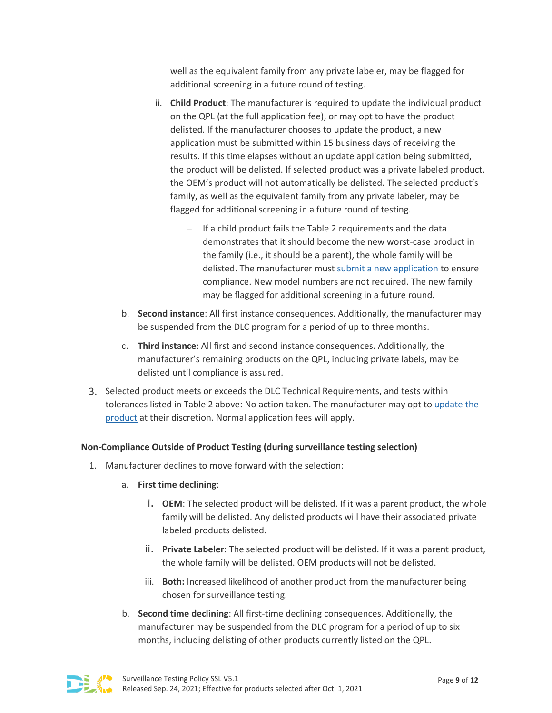well as the equivalent family from any private labeler, may be flagged for additional screening in a future round of testing.

- ii. **Child Product**: The manufacturer is required to update the individual product on the QPL (at the full application fee), or may opt to have the product delisted. If the manufacturer chooses to update the product, a new application must be submitted within 15 business days of receiving the results. If this time elapses without an update application being submitted, the product will be delisted. If selected product was a private labeled product, the OEM's product will not automatically be delisted. The selected product's family, as well as the equivalent family from any private labeler, may be flagged for additional screening in a future round of testing.
	- − If a child product fails the Table 2 requirements and the data demonstrates that it should become the new worst-case product in the family (i.e., it should be a parent), the whole family will be delisted. The manufacturer must [submit a new application](https://www.designlights.org/our-work/solid-state-lighting/submit-a-product/product-update-applications/) to ensure compliance. New model numbers are not required. The new family may be flagged for additional screening in a future round.
- b. **Second instance**: All first instance consequences. Additionally, the manufacturer may be suspended from the DLC program for a period of up to three months.
- c. **Third instance**: All first and second instance consequences. Additionally, the manufacturer's remaining products on the QPL, including private labels, may be delisted until compliance is assured.
- Selected product meets or exceeds the DLC Technical Requirements, and tests within tolerances listed in Table 2 above: No action taken. The manufacturer may opt to [update the](https://www.designlights.org/our-work/solid-state-lighting/submit-a-product/product-update-applications/)  [product](https://www.designlights.org/our-work/solid-state-lighting/submit-a-product/product-update-applications/) at their discretion. Normal application fees will apply.

#### **Non-Compliance Outside of Product Testing (during surveillance testing selection)**

- 1. Manufacturer declines to move forward with the selection:
	- a. **First time declining**:
		- i. **OEM**: The selected product will be delisted. If it was a parent product, the whole family will be delisted. Any delisted products will have their associated private labeled products delisted.
		- ii. **Private Labeler**: The selected product will be delisted. If it was a parent product, the whole family will be delisted. OEM products will not be delisted.
		- iii. **Both:** Increased likelihood of another product from the manufacturer being chosen for surveillance testing.
	- b. **Second time declining**: All first-time declining consequences. Additionally, the manufacturer may be suspended from the DLC program for a period of up to six months, including delisting of other products currently listed on the QPL.

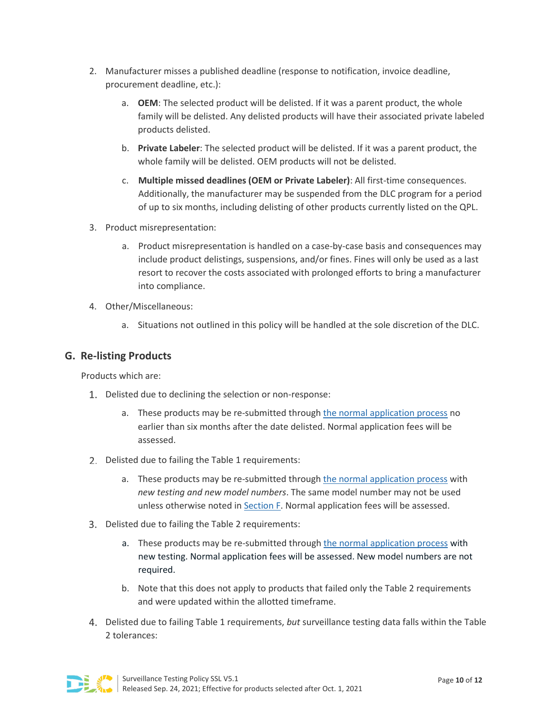- 2. Manufacturer misses a published deadline (response to notification, invoice deadline, procurement deadline, etc.):
	- a. **OEM**: The selected product will be delisted. If it was a parent product, the whole family will be delisted. Any delisted products will have their associated private labeled products delisted.
	- b. **Private Labeler**: The selected product will be delisted. If it was a parent product, the whole family will be delisted. OEM products will not be delisted.
	- c. **Multiple missed deadlines (OEM or Private Labeler)**: All first-time consequences. Additionally, the manufacturer may be suspended from the DLC program for a period of up to six months, including delisting of other products currently listed on the QPL.
- 3. Product misrepresentation:
	- a. Product misrepresentation is handled on a case-by-case basis and consequences may include product delistings, suspensions, and/or fines. Fines will only be used as a last resort to recover the costs associated with prolonged efforts to bring a manufacturer into compliance.
- 4. Other/Miscellaneous:
	- a. Situations not outlined in this policy will be handled at the sole discretion of the DLC.

## **G. Re-listing Products**

Products which are:

- 1. Delisted due to declining the selection or non-response:
	- a. These products may be re-submitted throug[h the normal application process](https://www.designlights.org/our-work/solid-state-lighting/submit-a-product/) no earlier than six months after the date delisted. Normal application fees will be assessed.
- 2. Delisted due to failing the Table 1 requirements:
	- a. These products may be re-submitted through [the normal application process](https://www.designlights.org/our-work/solid-state-lighting/submit-a-product/) with *new testing and new model numbers*. The same model number may not be used unless otherwise noted i[n Section F.](#page-7-0) Normal application fees will be assessed.
- 3. Delisted due to failing the Table 2 requirements:
	- a. These products may be re-submitted through [the normal application process](https://www.designlights.org/our-work/solid-state-lighting/submit-a-product/) with new testing. Normal application fees will be assessed. New model numbers are not required.
	- b. Note that this does not apply to products that failed only the Table 2 requirements and were updated within the allotted timeframe.
- Delisted due to failing Table 1 requirements, *but* surveillance testing data falls within the Table 2 tolerances:

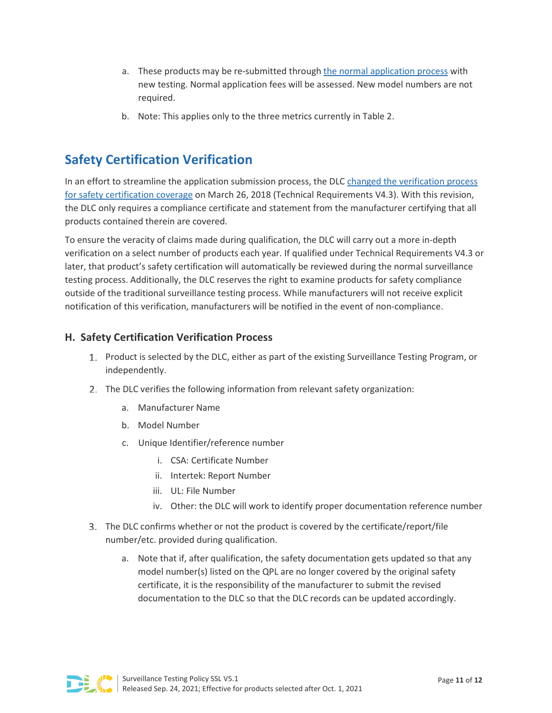- a. These products may be re-submitted through [the normal application process](https://www.designlights.org/our-work/solid-state-lighting/submit-a-product/) with new testing. Normal application fees will be assessed. New model numbers are not required.
- b. Note: This applies only to the three metrics currently in Table 2.

# **Safety Certification Verification**

In an effort to streamline the application submission process, the DLC [changed the verification process](https://www.designlights.org/wp-content/uploads/2021/07/DLC_Testing-Reporting-Requirements-Safety-Certification_07302021.pdf)  [for safety certification coverage](https://www.designlights.org/wp-content/uploads/2021/07/DLC_Testing-Reporting-Requirements-Safety-Certification_07302021.pdf) on March 26, 2018 (Technical Requirements V4.3). With this revision, the DLC only requires a compliance certificate and statement from the manufacturer certifying that all products contained therein are covered.

To ensure the veracity of claims made during qualification, the DLC will carry out a more in-depth verification on a select number of products each year. If qualified under Technical Requirements V4.3 or later, that product's safety certification will automatically be reviewed during the normal surveillance testing process. Additionally, the DLC reserves the right to examine products for safety compliance outside of the traditional surveillance testing process. While manufacturers will not receive explicit notification of this verification, manufacturers will be notified in the event of non-compliance.

## **H. Safety Certification Verification Process**

- 1. Product is selected by the DLC, either as part of the existing Surveillance Testing Program, or independently.
- 2. The DLC verifies the following information from relevant safety organization:
	- a. Manufacturer Name
	- b. Model Number
	- c. Unique Identifier/reference number
		- i. CSA: Certificate Number
		- ii. Intertek: Report Number
		- iii. UL: File Number
		- iv. Other: the DLC will work to identify proper documentation reference number
- The DLC confirms whether or not the product is covered by the certificate/report/file number/etc. provided during qualification.
	- a. Note that if, after qualification, the safety documentation gets updated so that any model number(s) listed on the QPL are no longer covered by the original safety certificate, it is the responsibility of the manufacturer to submit the revised documentation to the DLC so that the DLC records can be updated accordingly.